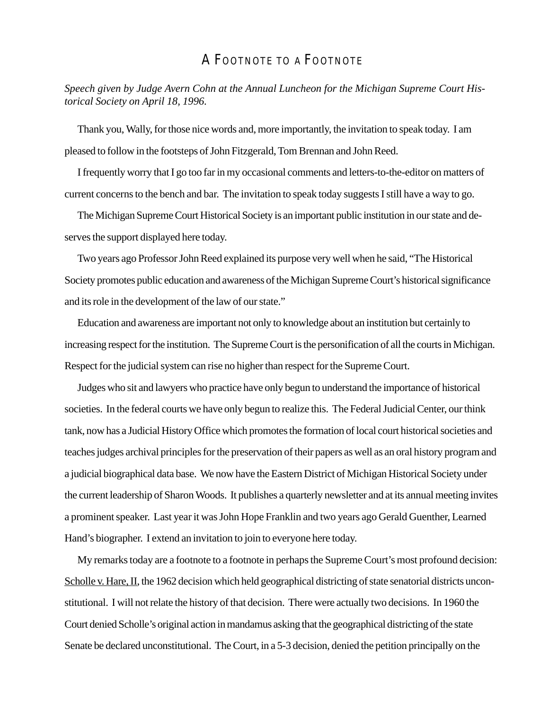## A FOOTNOTE TO A FOOTNOTE

*Speech given by Judge Avern Cohn at the Annual Luncheon for the Michigan Supreme Court Historical Society on April 18, 1996.*

Thank you, Wally, for those nice words and, more importantly, the invitation to speak today. I am pleased to follow in the footsteps of John Fitzgerald, Tom Brennan and John Reed.

I frequently worry that I go too far in my occasional comments and letters-to-the-editor on matters of current concerns to the bench and bar. The invitation to speak today suggests I still have a way to go.

The Michigan Supreme Court Historical Society is an important public institution in our state and deserves the support displayed here today.

Two years ago Professor John Reed explained its purpose very well when he said, "The Historical Society promotes public education and awareness of the Michigan Supreme Court's historical significance and its role in the development of the law of our state."

Education and awareness are important not only to knowledge about an institution but certainly to increasing respect for the institution. The Supreme Court is the personification of all the courts in Michigan. Respect for the judicial system can rise no higher than respect for the Supreme Court.

Judges who sit and lawyers who practice have only begun to understand the importance of historical societies. In the federal courts we have only begun to realize this. The Federal Judicial Center, our think tank, now has a Judicial History Office which promotes the formation of local court historical societies and teaches judges archival principles for the preservation of their papers as well as an oral history program and a judicial biographical data base. We now have the Eastern District of Michigan Historical Society under the current leadership of Sharon Woods. It publishes a quarterly newsletter and at its annual meeting invites a prominent speaker. Last year it was John Hope Franklin and two years ago Gerald Guenther, Learned Hand's biographer. I extend an invitation to join to everyone here today.

My remarks today are a footnote to a footnote in perhaps the Supreme Court's most profound decision: Scholle v. Hare, II, the 1962 decision which held geographical districting of state senatorial districts unconstitutional. I will not relate the history of that decision. There were actually two decisions. In 1960 the Court denied Scholle's original action in mandamus asking that the geographical districting of the state Senate be declared unconstitutional. The Court, in a 5-3 decision, denied the petition principally on the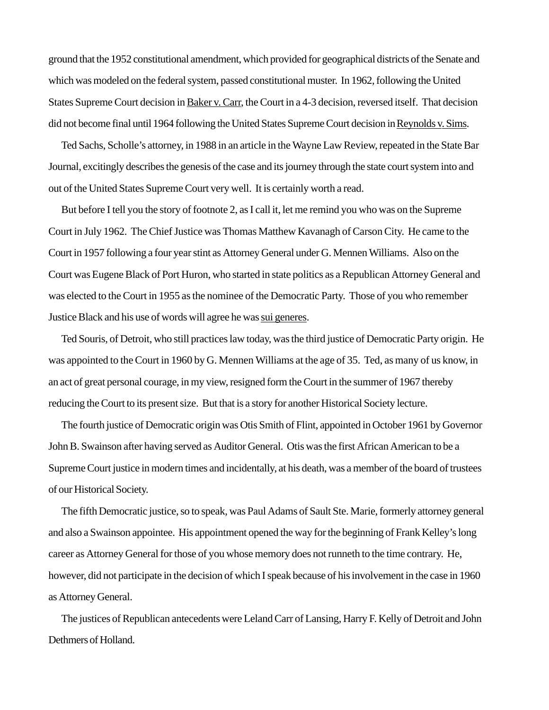ground that the 1952 constitutional amendment, which provided for geographical districts of the Senate and which was modeled on the federal system, passed constitutional muster. In 1962, following the United States Supreme Court decision in Baker v. Carr, the Court in a 4-3 decision, reversed itself. That decision did not become final until 1964 following the United States Supreme Court decision in Reynolds v. Sims.

Ted Sachs, Scholle's attorney, in 1988 in an article in the Wayne Law Review, repeated in the State Bar Journal, excitingly describes the genesis of the case and its journey through the state court system into and out of the United States Supreme Court very well. It is certainly worth a read.

But before I tell you the story of footnote 2, as I call it, let me remind you who was on the Supreme Court in July 1962. The Chief Justice was Thomas Matthew Kavanagh of Carson City. He came to the Court in 1957 following a four year stint as Attorney General under G. Mennen Williams. Also on the Court was Eugene Black of Port Huron, who started in state politics as a Republican Attorney General and was elected to the Court in 1955 as the nominee of the Democratic Party. Those of you who remember Justice Black and his use of words will agree he was sui generes.

Ted Souris, of Detroit, who still practices law today, was the third justice of Democratic Party origin. He was appointed to the Court in 1960 by G. Mennen Williams at the age of 35. Ted, as many of us know, in an act of great personal courage, in my view, resigned form the Court in the summer of 1967 thereby reducing the Court to its present size. But that is a story for another Historical Society lecture.

The fourth justice of Democratic origin was Otis Smith of Flint, appointed in October 1961 by Governor John B. Swainson after having served as Auditor General. Otis was the first African American to be a Supreme Court justice in modern times and incidentally, at his death, was a member of the board of trustees of our Historical Society.

The fifth Democratic justice, so to speak, was Paul Adams of Sault Ste. Marie, formerly attorney general and also a Swainson appointee. His appointment opened the way for the beginning of Frank Kelley's long career as Attorney General for those of you whose memory does not runneth to the time contrary. He, however, did not participate in the decision of which I speak because of his involvement in the case in 1960 as Attorney General.

The justices of Republican antecedents were Leland Carr of Lansing, Harry F. Kelly of Detroit and John Dethmers of Holland.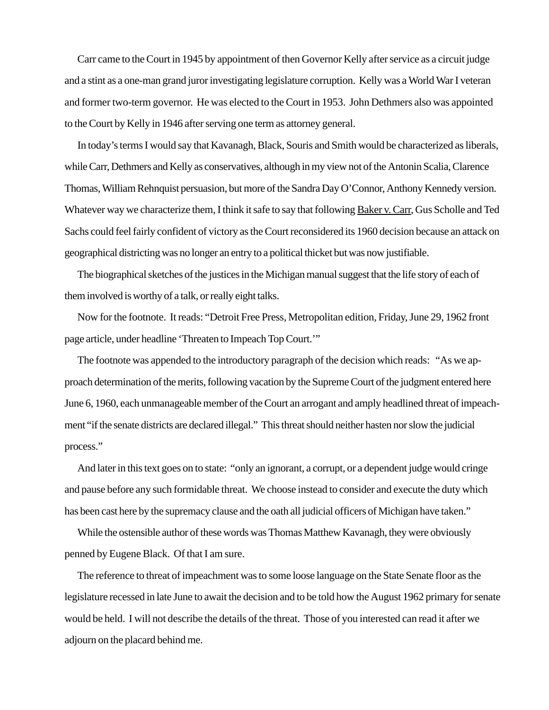Carr came to the Court in 1945 by appointment of then Governor Kelly after service as a circuit judge and a stint as a one-man grand juror investigating legislature corruption. Kelly was a World War I veteran and former two-term governor. He was elected to the Court in 1953. John Dethmers also was appointed to the Court by Kelly in 1946 after serving one term as attorney general.

In today's terms I would say that Kavanagh, Black, Souris and Smith would be characterized as liberals, while Carr, Dethmers and Kelly as conservatives, although in my view not of the Antonin Scalia, Clarence Thomas, William Rehnquist persuasion, but more of the Sandra Day O'Connor, Anthony Kennedy version. Whatever way we characterize them, I think it safe to say that following Baker v. Carr, Gus Scholle and Ted Sachs could feel fairly confident of victory as the Court reconsidered its 1960 decision because an attack on geographical districting was no longer an entry to a political thicket but was now justifiable.

The biographical sketches of the justices in the Michigan manual suggest that the life story of each of them involved is worthy of a talk, or really eight talks.

Now for the footnote. It reads: "Detroit Free Press, Metropolitan edition, Friday, June 29, 1962 front page article, under headline 'Threaten to Impeach Top Court.'"

The footnote was appended to the introductory paragraph of the decision which reads: "As we approach determination of the merits, following vacation by the Supreme Court of the judgment entered here June 6, 1960, each unmanageable member of the Court an arrogant and amply headlined threat of impeachment "if the senate districts are declared illegal." This threat should neither hasten nor slow the judicial process."

And later in this text goes on to state: "only an ignorant, a corrupt, or a dependent judge would cringe and pause before any such formidable threat. We choose instead to consider and execute the duty which has been cast here by the supremacy clause and the oath all judicial officers of Michigan have taken."

While the ostensible author of these words was Thomas Matthew Kavanagh, they were obviously penned by Eugene Black. Of that I am sure.

The reference to threat of impeachment was to some loose language on the State Senate floor as the legislature recessed in late June to await the decision and to be told how the August 1962 primary for senate would be held. I will not describe the details of the threat. Those of you interested can read it after we adjourn on the placard behind me.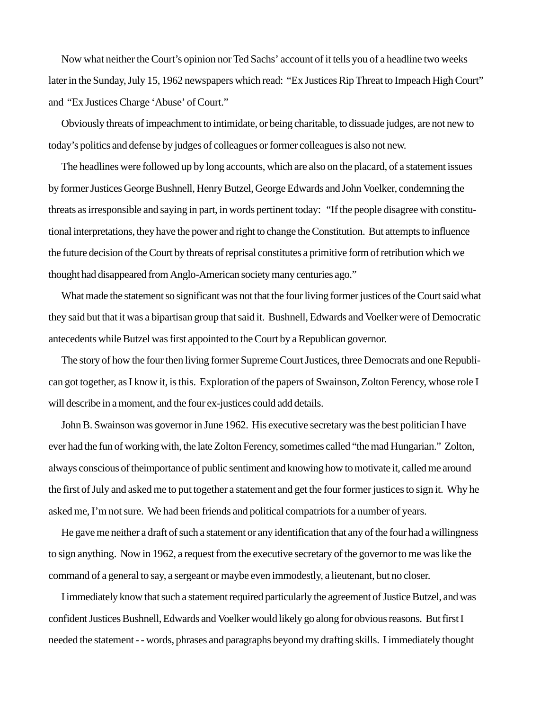Now what neither the Court's opinion nor Ted Sachs' account of it tells you of a headline two weeks later in the Sunday, July 15, 1962 newspapers which read: "Ex Justices Rip Threat to Impeach High Court" and "Ex Justices Charge 'Abuse' of Court."

Obviously threats of impeachment to intimidate, or being charitable, to dissuade judges, are not new to today's politics and defense by judges of colleagues or former colleagues is also not new.

The headlines were followed up by long accounts, which are also on the placard, of a statement issues by former Justices George Bushnell, Henry Butzel, George Edwards and John Voelker, condemning the threats as irresponsible and saying in part, in words pertinent today: "If the people disagree with constitutional interpretations, they have the power and right to change the Constitution. But attempts to influence the future decision of the Court by threats of reprisal constitutes a primitive form of retribution which we thought had disappeared from Anglo-American society many centuries ago."

What made the statement so significant was not that the four living former justices of the Court said what they said but that it was a bipartisan group that said it. Bushnell, Edwards and Voelker were of Democratic antecedents while Butzel was first appointed to the Court by a Republican governor.

The story of how the four then living former Supreme Court Justices, three Democrats and one Republican got together, as I know it, is this. Exploration of the papers of Swainson, Zolton Ferency, whose role I will describe in a moment, and the four ex-justices could add details.

John B. Swainson was governor in June 1962. His executive secretary was the best politician I have ever had the fun of working with, the late Zolton Ferency, sometimes called "the mad Hungarian." Zolton, always conscious of theimportance of public sentiment and knowing how to motivate it, called me around the first of July and asked me to put together a statement and get the four former justices to sign it. Why he asked me, I'm not sure. We had been friends and political compatriots for a number of years.

He gave me neither a draft of such a statement or any identification that any of the four had a willingness to sign anything. Now in 1962, a request from the executive secretary of the governor to me was like the command of a general to say, a sergeant or maybe even immodestly, a lieutenant, but no closer.

I immediately know that such a statement required particularly the agreement of Justice Butzel, and was confident Justices Bushnell, Edwards and Voelker would likely go along for obvious reasons. But first I needed the statement - - words, phrases and paragraphs beyond my drafting skills. I immediately thought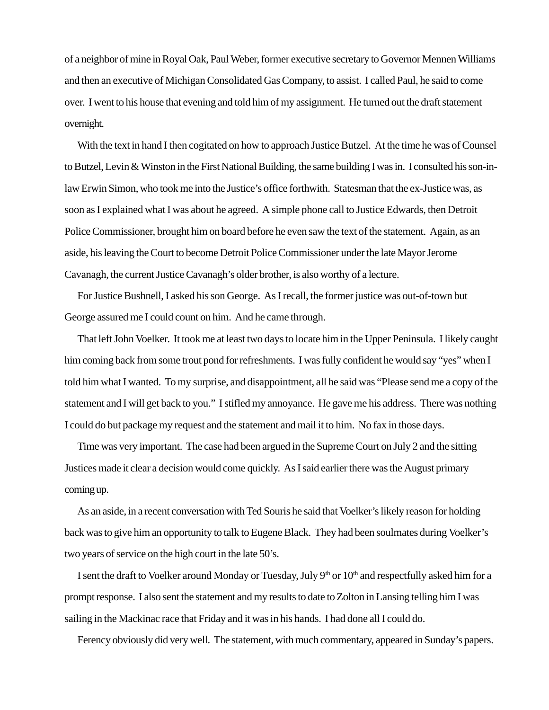of a neighbor of mine in Royal Oak, Paul Weber, former executive secretary to Governor Mennen Williams and then an executive of Michigan Consolidated Gas Company, to assist. I called Paul, he said to come over. I went to his house that evening and told him of my assignment. He turned out the draft statement overnight.

With the text in hand I then cogitated on how to approach Justice Butzel. At the time he was of Counsel to Butzel, Levin & Winston in the First National Building, the same building I was in. I consulted his son-inlaw Erwin Simon, who took me into the Justice's office forthwith. Statesman that the ex-Justice was, as soon as I explained what I was about he agreed. A simple phone call to Justice Edwards, then Detroit Police Commissioner, brought him on board before he even saw the text of the statement. Again, as an aside, his leaving the Court to become Detroit Police Commissioner under the late Mayor Jerome Cavanagh, the current Justice Cavanagh's older brother, is also worthy of a lecture.

For Justice Bushnell, I asked his son George. As I recall, the former justice was out-of-town but George assured me I could count on him. And he came through.

That left John Voelker. It took me at least two days to locate him in the Upper Peninsula. I likely caught him coming back from some trout pond for refreshments. I was fully confident he would say "yes" when I told him what I wanted. To my surprise, and disappointment, all he said was "Please send me a copy of the statement and I will get back to you." I stifled my annoyance. He gave me his address. There was nothing I could do but package my request and the statement and mail it to him. No fax in those days.

Time was very important. The case had been argued in the Supreme Court on July 2 and the sitting Justices made it clear a decision would come quickly. As I said earlier there was the August primary coming up.

As an aside, in a recent conversation with Ted Souris he said that Voelker's likely reason for holding back was to give him an opportunity to talk to Eugene Black. They had been soulmates during Voelker's two years of service on the high court in the late 50's.

I sent the draft to Voelker around Monday or Tuesday, July  $9<sup>th</sup>$  or  $10<sup>th</sup>$  and respectfully asked him for a prompt response. I also sent the statement and my results to date to Zolton in Lansing telling him I was sailing in the Mackinac race that Friday and it was in his hands. I had done all I could do.

Ferency obviously did very well. The statement, with much commentary, appeared in Sunday's papers.